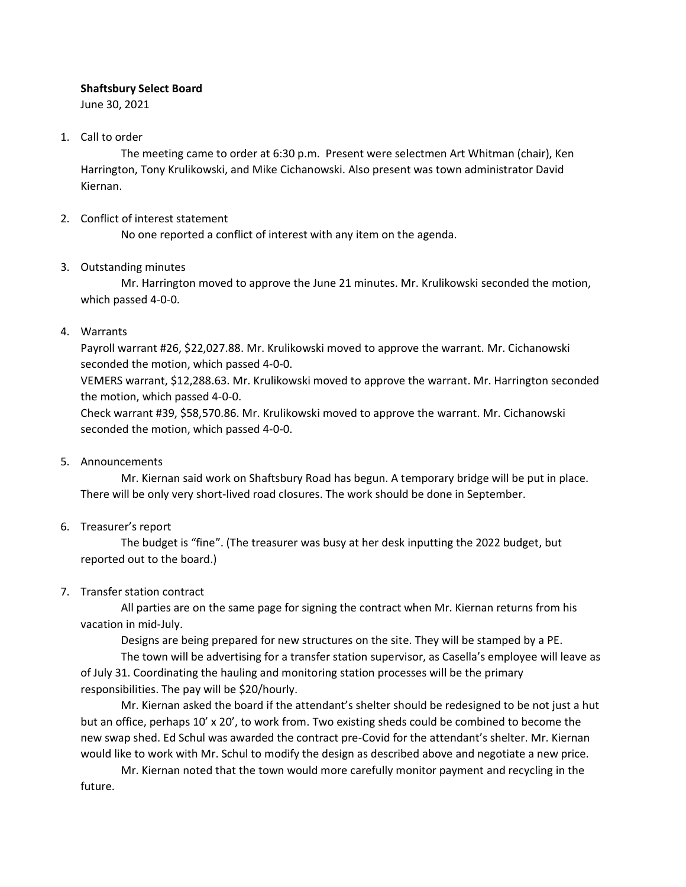#### **Shaftsbury Select Board**

June 30, 2021

#### 1. Call to order

The meeting came to order at 6:30 p.m. Present were selectmen Art Whitman (chair), Ken Harrington, Tony Krulikowski, and Mike Cichanowski. Also present was town administrator David Kiernan.

## 2. Conflict of interest statement

No one reported a conflict of interest with any item on the agenda.

## 3. Outstanding minutes

Mr. Harrington moved to approve the June 21 minutes. Mr. Krulikowski seconded the motion, which passed 4-0-0.

## 4. Warrants

Payroll warrant #26, \$22,027.88. Mr. Krulikowski moved to approve the warrant. Mr. Cichanowski seconded the motion, which passed 4-0-0.

VEMERS warrant, \$12,288.63. Mr. Krulikowski moved to approve the warrant. Mr. Harrington seconded the motion, which passed 4-0-0.

Check warrant #39, \$58,570.86. Mr. Krulikowski moved to approve the warrant. Mr. Cichanowski seconded the motion, which passed 4-0-0.

#### 5. Announcements

Mr. Kiernan said work on Shaftsbury Road has begun. A temporary bridge will be put in place. There will be only very short-lived road closures. The work should be done in September.

# 6. Treasurer's report

The budget is "fine". (The treasurer was busy at her desk inputting the 2022 budget, but reported out to the board.)

# 7. Transfer station contract

All parties are on the same page for signing the contract when Mr. Kiernan returns from his vacation in mid-July.

Designs are being prepared for new structures on the site. They will be stamped by a PE.

The town will be advertising for a transfer station supervisor, as Casella's employee will leave as of July 31. Coordinating the hauling and monitoring station processes will be the primary responsibilities. The pay will be \$20/hourly.

Mr. Kiernan asked the board if the attendant's shelter should be redesigned to be not just a hut but an office, perhaps 10' x 20', to work from. Two existing sheds could be combined to become the new swap shed. Ed Schul was awarded the contract pre-Covid for the attendant's shelter. Mr. Kiernan would like to work with Mr. Schul to modify the design as described above and negotiate a new price.

Mr. Kiernan noted that the town would more carefully monitor payment and recycling in the future.